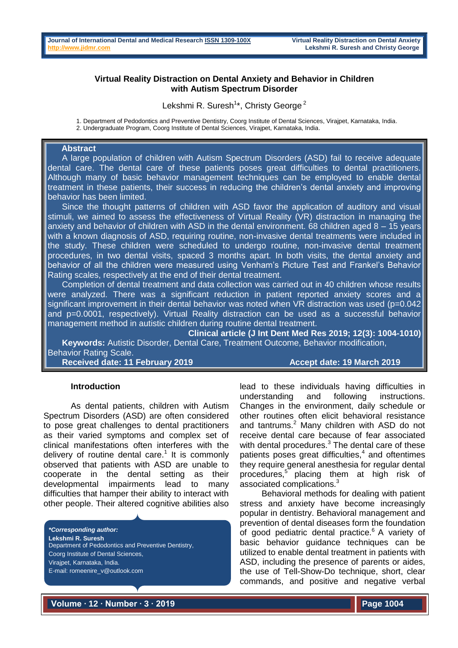### **Virtual Reality Distraction on Dental Anxiety and Behavior in Children with Autism Spectrum Disorder**

Lekshmi R. Suresh<sup>1\*</sup>, Christy George<sup>2</sup>

1. Department of Pedodontics and Preventive Dentistry, Coorg Institute of Dental Sciences, Virajpet, Karnataka, India.

2. Undergraduate Program, Coorg Institute of Dental Sciences, Virajpet, Karnataka, India.

### **Abstract**

 A large population of children with Autism Spectrum Disorders (ASD) fail to receive adequate dental care. The dental care of these patients poses great difficulties to dental practitioners. Although many of basic behavior management techniques can be employed to enable dental treatment in these patients, their success in reducing the children's dental anxiety and improving behavior has been limited.

 Since the thought patterns of children with ASD favor the application of auditory and visual stimuli, we aimed to assess the effectiveness of Virtual Reality (VR) distraction in managing the anxiety and behavior of children with ASD in the dental environment. 68 children aged 8 – 15 years with a known diagnosis of ASD, requiring routine, non-invasive dental treatments were included in the study. These children were scheduled to undergo routine, non-invasive dental treatment procedures, in two dental visits, spaced 3 months apart. In both visits, the dental anxiety and behavior of all the children were measured using Venham's Picture Test and Frankel's Behavior Rating scales, respectively at the end of their dental treatment.

 Completion of dental treatment and data collection was carried out in 40 children whose results were analyzed. There was a significant reduction in patient reported anxiety scores and a significant improvement in their dental behavior was noted when VR distraction was used (p=0.042 and p=0.0001, respectively). Virtual Reality distraction can be used as a successful behavior management method in autistic children during routine dental treatment.

**Clinical article (J Int Dent Med Res 2019; 12(3): 1004-1010) Keywords:** Autistic Disorder, Dental Care, Treatment Outcome, Behavior modification,

Behavior Rating Scale.

Received date: 11 February 2019 **Accept date: 19 March 2019** 

#### **Introduction**

As dental patients, children with Autism Spectrum Disorders (ASD) are often considered to pose great challenges to dental practitioners as their varied symptoms and complex set of clinical manifestations often interferes with the delivery of routine dental care. $1$  It is commonly observed that patients with ASD are unable to cooperate in the dental setting as their developmental impairments lead to many difficulties that hamper their ability to interact with other people. Their altered cognitive abilities also

*\*Corresponding author:* **Lekshmi R. Suresh** Department of Pedodontics and Preventive Dentistry, Coorg Institute of Dental Sciences, Virajpet, Karnataka, India. E-mail: romeenire\_v@outlook.com

lead to these individuals having difficulties in understanding and following instructions. Changes in the environment, daily schedule or other routines often elicit behavioral resistance and tantrums.<sup>2</sup> Many children with ASD do not receive dental care because of fear associated with dental procedures.<sup>3</sup> The dental care of these patients poses great difficulties, $4$  and oftentimes they require general anesthesia for regular dental procedures,<sup>5</sup> placing them at high risk of associated complications.<sup>3</sup>

Behavioral methods for dealing with patient stress and anxiety have become increasingly popular in dentistry. Behavioral management and prevention of dental diseases form the foundation of good pediatric dental practice. $6$  A variety of basic behavior guidance techniques can be utilized to enable dental treatment in patients with ASD, including the presence of parents or aides, the use of Tell-Show-Do technique, short, clear commands, and positive and negative verbal

**Volume ∙ 12 ∙ Number ∙ 3 ∙ 2019**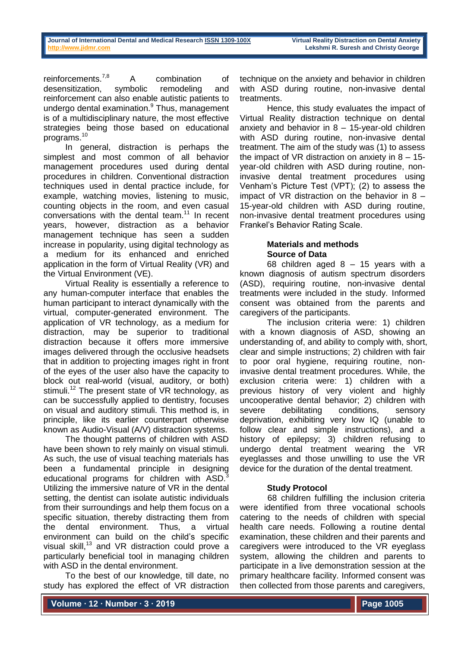reinforcements.7,8 A combination of desensitization, symbolic remodeling and reinforcement can also enable autistic patients to undergo dental examination.<sup>9</sup> Thus, management is of a multidisciplinary nature, the most effective strategies being those based on educational programs.<sup>10</sup>

In general, distraction is perhaps the simplest and most common of all behavior management procedures used during dental procedures in children. Conventional distraction techniques used in dental practice include, for example, watching movies, listening to music, counting objects in the room, and even casual conversations with the dental team. $11$  In recent years, however, distraction as a behavior management technique has seen a sudden increase in popularity, using digital technology as a medium for its enhanced and enriched application in the form of Virtual Reality (VR) and the Virtual Environment (VE).

Virtual Reality is essentially a reference to any human-computer interface that enables the human participant to interact dynamically with the virtual, computer-generated environment. The application of VR technology, as a medium for distraction, may be superior to traditional distraction because it offers more immersive images delivered through the occlusive headsets that in addition to projecting images right in front of the eyes of the user also have the capacity to block out real-world (visual, auditory, or both) stimuli.<sup>12</sup> The present state of VR technology, as can be successfully applied to dentistry, focuses on visual and auditory stimuli. This method is, in principle, like its earlier counterpart otherwise known as Audio-Visual (A/V) distraction systems.

The thought patterns of children with ASD have been shown to rely mainly on visual stimuli. As such, the use of visual teaching materials has been a fundamental principle in designing educational programs for children with ASD.<sup>3</sup> Utilizing the immersive nature of VR in the dental setting, the dentist can isolate autistic individuals from their surroundings and help them focus on a specific situation, thereby distracting them from the dental environment. Thus, a virtual environment can build on the child's specific visual skill,<sup>13</sup> and VR distraction could prove a particularly beneficial tool in managing children with ASD in the dental environment.

To the best of our knowledge, till date, no study has explored the effect of VR distraction

technique on the anxiety and behavior in children with ASD during routine, non-invasive dental treatments.

Hence, this study evaluates the impact of Virtual Reality distraction technique on dental anxiety and behavior in  $8 - 15$ -year-old children with ASD during routine, non-invasive dental treatment. The aim of the study was (1) to assess the impact of VR distraction on anxiety in 8 – 15 year-old children with ASD during routine, noninvasive dental treatment procedures using Venham's Picture Test (VPT); (2) to assess the impact of VR distraction on the behavior in 8 – 15-year-old children with ASD during routine, non-invasive dental treatment procedures using Frankel's Behavior Rating Scale.

### **Materials and methods Source of Data**

68 children aged  $8 - 15$  years with a known diagnosis of autism spectrum disorders (ASD), requiring routine, non-invasive dental treatments were included in the study. Informed consent was obtained from the parents and caregivers of the participants.

The inclusion criteria were: 1) children with a known diagnosis of ASD, showing an understanding of, and ability to comply with, short, clear and simple instructions; 2) children with fair to poor oral hygiene, requiring routine, noninvasive dental treatment procedures. While, the exclusion criteria were: 1) children with a previous history of very violent and highly uncooperative dental behavior; 2) children with severe debilitating conditions, sensory deprivation, exhibiting very low IQ (unable to follow clear and simple instructions), and a history of epilepsy; 3) children refusing to undergo dental treatment wearing the VR eyeglasses and those unwilling to use the VR device for the duration of the dental treatment.

# **Study Protocol**

68 children fulfilling the inclusion criteria were identified from three vocational schools catering to the needs of children with special health care needs. Following a routine dental examination, these children and their parents and caregivers were introduced to the VR eyeglass system, allowing the children and parents to participate in a live demonstration session at the primary healthcare facility. Informed consent was then collected from those parents and caregivers,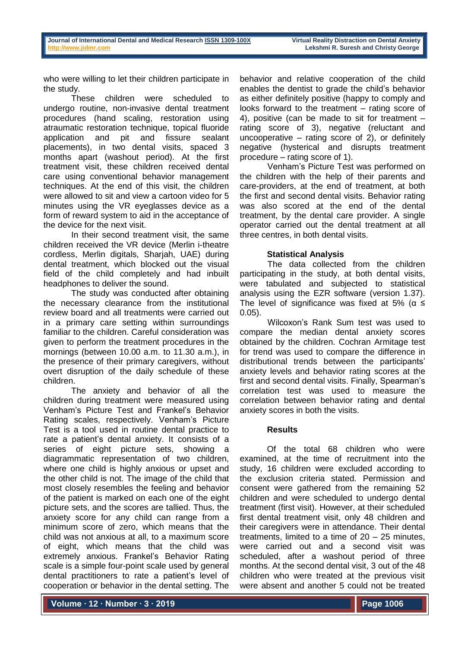who were willing to let their children participate in the study.

These children were scheduled to undergo routine, non-invasive dental treatment procedures (hand scaling, restoration using atraumatic restoration technique, topical fluoride application and pit and fissure sealant placements), in two dental visits, spaced 3 months apart (washout period). At the first treatment visit, these children received dental care using conventional behavior management techniques. At the end of this visit, the children were allowed to sit and view a cartoon video for 5 minutes using the VR eyeglasses device as a form of reward system to aid in the acceptance of the device for the next visit.

In their second treatment visit, the same children received the VR device (Merlin i-theatre cordless, Merlin digitals, Sharjah, UAE) during dental treatment, which blocked out the visual field of the child completely and had inbuilt headphones to deliver the sound.

The study was conducted after obtaining the necessary clearance from the institutional review board and all treatments were carried out in a primary care setting within surroundings familiar to the children. Careful consideration was given to perform the treatment procedures in the mornings (between 10.00 a.m. to 11.30 a.m.), in the presence of their primary caregivers, without overt disruption of the daily schedule of these children.

The anxiety and behavior of all the children during treatment were measured using Venham's Picture Test and Frankel's Behavior Rating scales, respectively. Venham's Picture Test is a tool used in routine dental practice to rate a patient's dental anxiety. It consists of a series of eight picture sets, showing a diagrammatic representation of two children, where one child is highly anxious or upset and the other child is not. The image of the child that most closely resembles the feeling and behavior of the patient is marked on each one of the eight picture sets, and the scores are tallied. Thus, the anxiety score for any child can range from a minimum score of zero, which means that the child was not anxious at all, to a maximum score of eight, which means that the child was extremely anxious. Frankel's Behavior Rating scale is a simple four-point scale used by general dental practitioners to rate a patient's level of cooperation or behavior in the dental setting. The

behavior and relative cooperation of the child enables the dentist to grade the child's behavior as either definitely positive (happy to comply and looks forward to the treatment – rating score of 4), positive (can be made to sit for treatment – rating score of 3), negative (reluctant and uncooperative – rating score of  $2$ ), or definitely negative (hysterical and disrupts treatment procedure – rating score of 1).

Venham's Picture Test was performed on the children with the help of their parents and care-providers, at the end of treatment, at both the first and second dental visits. Behavior rating was also scored at the end of the dental treatment, by the dental care provider. A single operator carried out the dental treatment at all three centres, in both dental visits.

# **Statistical Analysis**

The data collected from the children participating in the study, at both dental visits, were tabulated and subjected to statistical analysis using the EZR software (version 1.37). The level of significance was fixed at 5% ( $\alpha \leq$ 0.05).

Wilcoxon's Rank Sum test was used to compare the median dental anxiety scores obtained by the children. Cochran Armitage test for trend was used to compare the difference in distributional trends between the participants' anxiety levels and behavior rating scores at the first and second dental visits. Finally, Spearman's correlation test was used to measure the correlation between behavior rating and dental anxiety scores in both the visits.

### **Results**

Of the total 68 children who were examined, at the time of recruitment into the study, 16 children were excluded according to the exclusion criteria stated. Permission and consent were gathered from the remaining 52 children and were scheduled to undergo dental treatment (first visit). However, at their scheduled first dental treatment visit, only 48 children and their caregivers were in attendance. Their dental treatments, limited to a time of 20 – 25 minutes, were carried out and a second visit was scheduled, after a washout period of three months. At the second dental visit, 3 out of the 48 children who were treated at the previous visit were absent and another 5 could not be treated

**Volume ∙ 12 ∙ Number ∙ 3 ∙ 2019**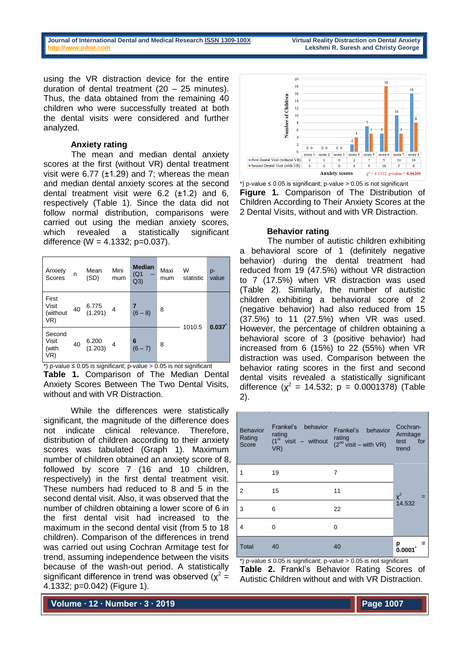**Journal of International Dental and Medical Research [ISSN 1309-100X](http://www.ektodermaldisplazi.com/dergi.htm) Virtual Reality Distraction on Dental Anxiety [http://www.jidmr.com](http://www.jidmr.com/) Lekshmi R. Suresh and Christy George**

using the VR distraction device for the entire duration of dental treatment (20 – 25 minutes). Thus, the data obtained from the remaining 40 children who were successfully treated at both the dental visits were considered and further analyzed.

### **Anxiety rating**

The mean and median dental anxiety scores at the first (without VR) dental treatment visit were 6.77 (±1.29) and 7; whereas the mean and median dental anxiety scores at the second dental treatment visit were 6.2 (±1.2) and 6, respectively (Table 1). Since the data did not follow normal distribution, comparisons were carried out using the median anxiety scores, which revealed a statistically significant difference ( $W = 4.1332$ ; p=0.037).

| Anxiety<br>Scores                 | n  | Mean<br>(SD)     | Mini<br>mum    | <b>Median</b><br>(Q <sub>1</sub> )<br>Q3) | Maxi<br>mum | W<br>statistic | p-<br>value |
|-----------------------------------|----|------------------|----------------|-------------------------------------------|-------------|----------------|-------------|
| First<br>Visit<br>(without<br>VR) | 40 | 6.775<br>(1.291) | $\overline{4}$ | $(6 - 8)$                                 | 8           | 1010.5         | 0.037       |
| Second<br>Visit<br>(with<br>VR)   | 40 | 6.200<br>(1.203) | 4              | 6<br>$(6 - 7)$                            | 8           |                |             |

\*) p-value  $\leq 0.05$  is significant; p-value  $> 0.05$  is not significant **Table 1.** Comparison of The Median Dental Anxiety Scores Between The Two Dental Visits, without and with VR Distraction.

While the differences were statistically significant, the magnitude of the difference does not indicate clinical relevance. Therefore, distribution of children according to their anxiety scores was tabulated (Graph 1). Maximum number of children obtained an anxiety score of 8, followed by score 7 (16 and 10 children, respectively) in the first dental treatment visit. These numbers had reduced to 8 and 5 in the second dental visit. Also, it was observed that the number of children obtaining a lower score of 6 in the first dental visit had increased to the maximum in the second dental visit (from 5 to 18 children). Comparison of the differences in trend was carried out using Cochran Armitage test for trend, assuming independence between the visits because of the wash-out period. A statistically significant difference in trend was observed ( $\chi^2$  = 4.1332; p=0.042) (Figure 1).



**Figure 1.** Comparison of The Distribution of Children According to Their Anxiety Scores at the 2 Dental Visits, without and with VR Distraction.

#### **Behavior rating**

The number of autistic children exhibiting a behavioral score of 1 (definitely negative behavior) during the dental treatment had reduced from 19 (47.5%) without VR distraction to 7 (17.5%) when VR distraction was used (Table 2). Similarly, the number of autistic children exhibiting a behavioral score of 2 (negative behavior) had also reduced from 15 (37.5%) to 11 (27.5%) when VR was used. However, the percentage of children obtaining a behavioral score of 3 (positive behavior) had increased from 6 (15%) to 22 (55%) when VR distraction was used. Comparison between the behavior rating scores in the first and second dental visits revealed a statistically significant difference  $(x^2 = 14.532; p = 0.0001378)$  (Table 2).

| <b>Behavior</b><br>Rating<br>Score | Frankel's<br>behavior<br>rating<br>$(1st$ visit – without<br>VR) | Frankel's behavior<br>rating<br>$(2nd$ visit – with VR) | Cochran-<br>Armitage<br>for<br>test<br>trend |
|------------------------------------|------------------------------------------------------------------|---------------------------------------------------------|----------------------------------------------|
|                                    | 19                                                               | 7                                                       |                                              |
| 2                                  | 15                                                               | 11                                                      | $x^2$<br>$=$                                 |
| 3                                  | 6                                                                | 22                                                      | 14.532                                       |
| 4                                  | 0                                                                | 0                                                       |                                              |
| Total                              | 40                                                               | 40                                                      | р<br>=<br>0.000                              |

\*) p-value  $\leq 0.05$  is significant; p-value  $> 0.05$  is not significant **Table 2.** Frankl's Behavior Rating Scores of Autistic Children without and with VR Distraction.

**Volume ∙ 12 ∙ Number ∙ 3 ∙ 2019**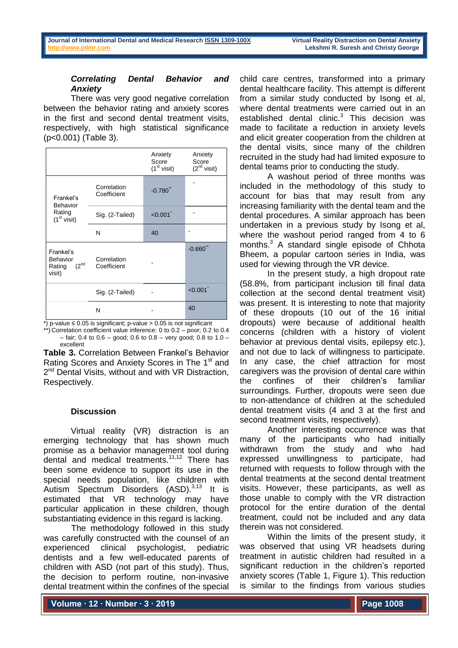### *Correlating Dental Behavior and Anxiety*

There was very good negative correlation between the behavior rating and anxiety scores in the first and second dental treatment visits, respectively, with high statistical significance (p<0.001) (Table 3).

|                                                               |                            | Anxiety<br>Score<br>$(1st$ visit) | Anxiety<br>Score<br>$(2nd$ visit) |
|---------------------------------------------------------------|----------------------------|-----------------------------------|-----------------------------------|
| Frankel's<br>Behavior                                         | Correlation<br>Coefficient | $-0.780$                          |                                   |
| Rating<br>(1 <sup>st</sup> visit)                             | Sig. (2-Tailed)            | < 0.001                           |                                   |
|                                                               | N                          | 40                                |                                   |
| Frankel's<br>Behavior<br>(2 <sup>nd</sup><br>Rating<br>visit) | Correlation<br>Coefficient |                                   | $-0.660$                          |
|                                                               | Sig. (2-Tailed)            |                                   | $< 0.001$ <sup>*</sup>            |
|                                                               | N                          |                                   | 40                                |

\*) p-value ≤ 0.05 is significant; p-value > 0.05 is not significant

\*\*) Correlation coefficient value inference: 0 to 0.2 – poor; 0.2 to 0.4  $-$  fair: 0.4 to 0.6 – good: 0.6 to 0.8 – very good: 0.8 to 1.0 – excellent

**Table 3.** Correlation Between Frankel's Behavior Rating Scores and Anxiety Scores in The 1<sup>st</sup> and 2<sup>nd</sup> Dental Visits, without and with VR Distraction, Respectively.

# **Discussion**

Virtual reality (VR) distraction is an emerging technology that has shown much promise as a behavior management tool during dental and medical treatments.<sup>11,12</sup> There has been some evidence to support its use in the special needs population, like children with Autism Spectrum Disorders (ASD).<sup>3,13</sup> It is estimated that VR technology may have particular application in these children, though substantiating evidence in this regard is lacking.

The methodology followed in this study was carefully constructed with the counsel of an experienced clinical psychologist, pediatric dentists and a few well-educated parents of children with ASD (not part of this study). Thus, the decision to perform routine, non-invasive dental treatment within the confines of the special

child care centres, transformed into a primary dental healthcare facility. This attempt is different from a similar study conducted by Isong et al, where dental treatments were carried out in an established dental clinic. $3$  This decision was made to facilitate a reduction in anxiety levels and elicit greater cooperation from the children at the dental visits, since many of the children recruited in the study had had limited exposure to dental teams prior to conducting the study.

A washout period of three months was included in the methodology of this study to account for bias that may result from any increasing familiarity with the dental team and the dental procedures. A similar approach has been undertaken in a previous study by Isong et al, where the washout period ranged from 4 to 6 months.<sup>3</sup> A standard single episode of Chhota Bheem, a popular cartoon series in India, was used for viewing through the VR device.

In the present study, a high dropout rate (58.8%, from participant inclusion till final data collection at the second dental treatment visit) was present. It is interesting to note that majority of these dropouts (10 out of the 16 initial dropouts) were because of additional health concerns (children with a history of violent behavior at previous dental visits, epilepsy etc.), and not due to lack of willingness to participate. In any case, the chief attraction for most caregivers was the provision of dental care within the confines of their children's familiar surroundings. Further, dropouts were seen due to non-attendance of children at the scheduled dental treatment visits (4 and 3 at the first and second treatment visits, respectively).

Another interesting occurrence was that many of the participants who had initially withdrawn from the study and who had expressed unwillingness to participate, had returned with requests to follow through with the dental treatments at the second dental treatment visits. However, these participants, as well as those unable to comply with the VR distraction protocol for the entire duration of the dental treatment, could not be included and any data therein was not considered.

Within the limits of the present study, it was observed that using VR headsets during treatment in autistic children had resulted in a significant reduction in the children's reported anxiety scores (Table 1, Figure 1). This reduction is similar to the findings from various studies

**Volume ∙ 12 ∙ Number ∙ 3 ∙ 2019**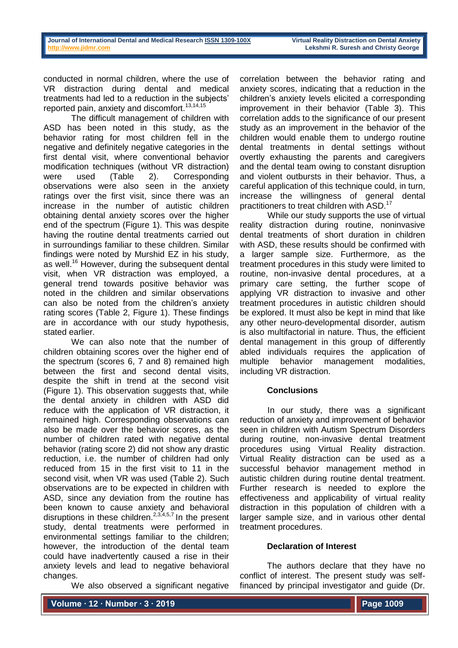conducted in normal children, where the use of VR distraction during dental and medical treatments had led to a reduction in the subjects' reported pain, anxiety and discomfort.<sup>13,14,15</sup>

The difficult management of children with ASD has been noted in this study, as the behavior rating for most children fell in the negative and definitely negative categories in the first dental visit, where conventional behavior modification techniques (without VR distraction) were used (Table 2). Corresponding observations were also seen in the anxiety ratings over the first visit, since there was an increase in the number of autistic children obtaining dental anxiety scores over the higher end of the spectrum (Figure 1). This was despite having the routine dental treatments carried out in surroundings familiar to these children. Similar findings were noted by Murshid EZ in his study, as well.<sup>16</sup> However, during the subsequent dental visit, when VR distraction was employed, a general trend towards positive behavior was noted in the children and similar observations can also be noted from the children's anxiety rating scores (Table 2, Figure 1). These findings are in accordance with our study hypothesis, stated earlier.

We can also note that the number of children obtaining scores over the higher end of the spectrum (scores 6, 7 and 8) remained high between the first and second dental visits, despite the shift in trend at the second visit (Figure 1). This observation suggests that, while the dental anxiety in children with ASD did reduce with the application of VR distraction, it remained high. Corresponding observations can also be made over the behavior scores, as the number of children rated with negative dental behavior (rating score 2) did not show any drastic reduction, i.e. the number of children had only reduced from 15 in the first visit to 11 in the second visit, when VR was used (Table 2). Such observations are to be expected in children with ASD, since any deviation from the routine has been known to cause anxiety and behavioral disruptions in these children.<sup>2,3,4,5,7</sup> In the present study, dental treatments were performed in environmental settings familiar to the children; however, the introduction of the dental team could have inadvertently caused a rise in their anxiety levels and lead to negative behavioral changes.

We also observed a significant negative

correlation between the behavior rating and anxiety scores, indicating that a reduction in the children's anxiety levels elicited a corresponding improvement in their behavior (Table 3). This correlation adds to the significance of our present study as an improvement in the behavior of the children would enable them to undergo routine dental treatments in dental settings without overtly exhausting the parents and caregivers and the dental team owing to constant disruption and violent outbursts in their behavior. Thus, a careful application of this technique could, in turn, increase the willingness of general dental practitioners to treat children with ASD.<sup>17</sup>

While our study supports the use of virtual reality distraction during routine, noninvasive dental treatments of short duration in children with ASD, these results should be confirmed with a larger sample size. Furthermore, as the treatment procedures in this study were limited to routine, non-invasive dental procedures, at a primary care setting, the further scope of applying VR distraction to invasive and other treatment procedures in autistic children should be explored. It must also be kept in mind that like any other neuro-developmental disorder, autism is also multifactorial in nature. Thus, the efficient dental management in this group of differently abled individuals requires the application of multiple behavior management modalities, including VR distraction.

### **Conclusions**

In our study, there was a significant reduction of anxiety and improvement of behavior seen in children with Autism Spectrum Disorders during routine, non-invasive dental treatment procedures using Virtual Reality distraction. Virtual Reality distraction can be used as a successful behavior management method in autistic children during routine dental treatment. Further research is needed to explore the effectiveness and applicability of virtual reality distraction in this population of children with a larger sample size, and in various other dental treatment procedures.

### **Declaration of Interest**

The authors declare that they have no conflict of interest. The present study was selffinanced by principal investigator and guide (Dr.